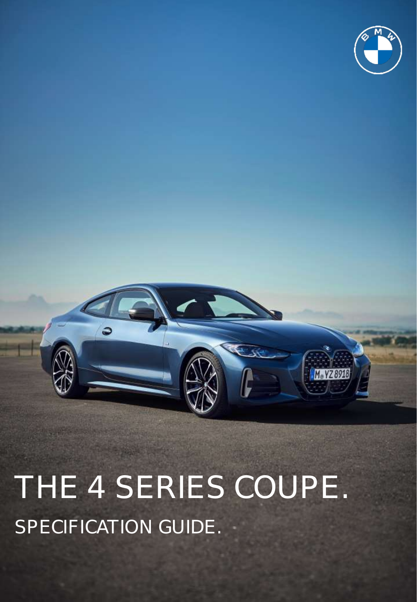



THE 4 SERIES COUPE. SPECIFICATION GUIDE.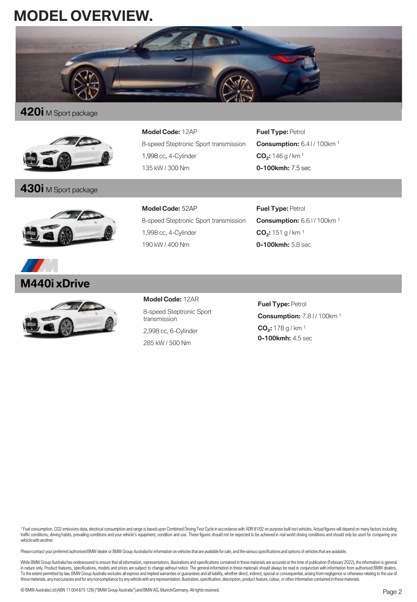# **MODEL OVERVIEW.**



# **420i** <sup>M</sup> Sport package



# **430i** <sup>M</sup> Sport package





**Model Code:** 12AP 8-speed Steptronic Sport transmission 1,998 cc, 4-Cylinder 135 kW / 300 Nm

**Fuel Type: Petrol Consumption:** 6.41/100km<sup>1</sup> **CO<sup>2</sup> :** 146 g / km <sup>1</sup> **0-100kmh:** 7.5 sec

**Model Code:** 52AP 8-speed Steptronic Sport transmission 1,998 cc, 4-Cylinder 190 kW / 400 Nm

**Fuel Type: Petrol Consumption:** 6.6 | / 100km<sup>1</sup> **CO<sup>2</sup> :** 151 g / km <sup>1</sup> **0-100kmh:** 5.8 sec

**Model Code:** 12AR 8-speed Steptronic Sport transmission 2,998 cc, 6-Cylinder

285 kW / 500 Nm

**Fuel Type:** Petrol **Consumption:** 7.8 l / 100km <sup>1</sup> **CO<sup>2</sup> :** 178 g / km <sup>1</sup> **0-100kmh:** 4.5 sec

1 Fuel consumption, CO2 emissions data, electrical consumption and range is based upon Combined Driving Test Cycle in accordance with ADR 81/02 on purpose built test vehicles. Actual figures will depend on many factors inc traffic conditions, driving habits, prevailing conditions and your vehicle's equipment, condition and use. These figures should not be expected to be achieved in real world driving conditions and should only be used for co

Please contact your preferred authorised BMW dealer or BMW Group Australia for information on vehicles that are available for sale, and the various specifications and options of vehicles that are available.

While BMW Group Australia has endeavoured to ensure that all information, representations, illustrations and specifications contained in these materials are accurate at the time of publication (February 2022), the informat in nature only. Product features, specifications, models and prices are subject to change without notice. The general information in these materials should always be read in conjunction with information from authorised BMW To the extent permitted by law, BMW Group Australia excludes all express and implied warranties or guarantees and all liability, whether direct, indirect, special or consequential, arising from negligence or otherwise rela thesematerials, anyinaccuracies and for any noncompliance by anyvehiclewith anyrepresentation, illustration,specification, description, product feature, colour, or other information contained in thesematerials.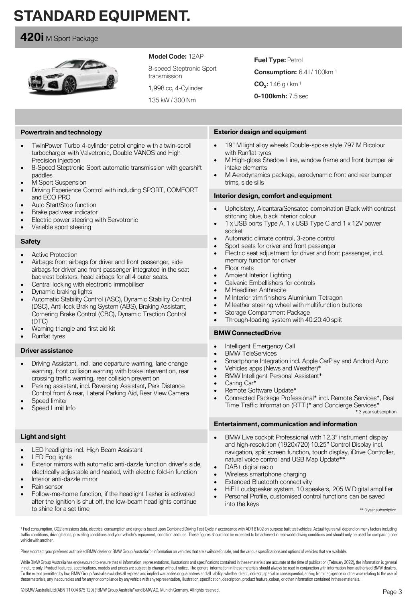# **STANDARD EQUIPMENT.**

# **420i** M Sport Package



### **Model Code:** 12AP

8-speed Steptronic Sport transmission

1,998 cc, 4-Cylinder

135 kW / 300 Nm

## **Fuel Type: Petrol**

**Consumption:** 6.41/100km<sup>1</sup>

**CO<sup>2</sup> :** 146 g / km <sup>1</sup>

**0-100kmh:** 7.5 sec

### **Powertrain and technology**

- TwinPower Turbo 4-cylinder petrol engine with a twin-scroll turbocharger with Valvetronic, Double VANOS and High Precision Injection
- 8-Speed Steptronic Sport automatic transmission with gearshift paddles
- **M** Sport Suspension
- Driving Experience Control with including SPORT, COMFORT and ECO PRO
- Auto Start/Stop function
- Brake pad wear indicator
- Electric power steering with Servotronic
- Variable sport steering

#### **Safety**

- **Active Protection**
- Airbags: front airbags for driver and front passenger, side airbags for driver and front passenger integrated in the seat backrest bolsters, head airbags for all 4 outer seats.
- Central locking with electronic immobiliser
- Dynamic braking lights
- Automatic Stability Control (ASC), Dynamic Stability Control (DSC), Anti-lock Braking System (ABS), Braking Assistant, Cornering Brake Control (CBC), Dynamic Traction Control (DTC)
- Warning triangle and first aid kit
- Runflat tyres

#### **Driver assistance**

- Driving Assistant, incl. lane departure warning, lane change warning, front collision warning with brake intervention, rear crossing traffic warning, rear collision prevention
- Parking assistant, incl. Reversing Assistant, Park Distance Control front & rear, Lateral Parking Aid, Rear View Camera
- Speed limiter
- Speed Limit Info

#### **Light and sight**

- LED headlights incl. High Beam Assistant
- LED Fog lights
- Exterior mirrors with automatic anti-dazzle function driver's side, electrically adjustable and heated, with electric fold-in function
- Interior anti-dazzle mirror
- Rain sensor
- Follow-me-home function, if the headlight flasher is activated after the ignition is shut off, the low-beam headlights continue to shine for a set time
- **Exterior design and equipment**
- 19" M light alloy wheels Double-spoke style 797 M Bicolour with Runflat tyres
- M High-gloss Shadow Line, window frame and front bumper air intake elements
- M Aerodynamics package, aerodynamic front and rear bumper trims, side sills

### **Interior design, comfort and equipment**

- Upholstery, Alcantara/Sensatec combination Black with contrast stitching blue, black interior colour
- 1 x USB ports Type A, 1 x USB Type C and 1 x 12V power socket
- Automatic climate control, 3-zone control
- Sport seats for driver and front passenger
- Electric seat adjustment for driver and front passenger, incl. memory function for driver
- Floor mats
- Ambient Interior Lighting
- Galvanic Embellishers for controls
- M Headliner Anthracite
- M Interior trim finishers Aluminium Tetragon
- M leather steering wheel with multifunction buttons
- Storage Compartment Package
- Through-loading system with 40:20:40 split

### **BMW ConnectedDrive**

- Intelligent Emergency Call
- BMW TeleServices
- Smartphone Integration incl. Apple CarPlay and Android Auto
- Vehicles apps (News and Weather)\*
- BMW Intelligent Personal Assistant\*
- Caring Car\*
- Remote Software Update\*
- Connected Package Professional\* incl. Remote Services\*, Real Time Traffic Information (RTTI)\* and Concierge Services\* \* 3 year subscription

#### **Entertainment, communication and information**

- BMW Live cockpit Professional with 12.3" instrument display and high-resolution (1920x720) 10.25" Control Display incl. navigation, split screen function, touch display, iDrive Controller, natural voice control and USB Map Update\*\*
- DAB+ digital radio
- Wireless smartphone charging
- **Extended Bluetooth connectivity**
- HiFI Loudspeaker system, 10 speakers, 205 W Digital amplifier
- Personal Profile, customised control functions can be saved into the keys

\*\* 3 year subscription

1 Fuel consumption, CO2 emissions data, electrical consumption and range is based upon Combined Driving Test Cycle in accordance with ADR 81/02 on purpose built test vehicles. Actual figures will depend on many factors inc traffic conditions, driving habits, prevailing conditions and your vehicle's equipment, condition and use. These figures should not be expected to be achieved in real world driving conditions and should only be used for co vehiclewith another.

Please contact your preferred authorised BMW dealer or BMW Group Australia for information on vehicles that are available for sale, and the various specifications and options of vehicles that are available.

While BMW Group Australia has endeavoured to ensure that all information, representations, illustrations and specifications contained in these materials are accurate at the time of publication (February 2022), the informat in nature only. Product features, specifications, models and prices are subject to change without notice. The general information in these materials should always be read in conjunction with information from authorised BMW To the extent permitted by law, BMW Group Australia excludes all express and implied warranties or guarantees and all liability, whether direct, indirect, special or consequential, arising from negligence or otherwise rela thesematerials, anyinaccuracies and for any noncompliance by anyvehiclewith anyrepresentation, illustration,specification, description, product feature, colour, or other information contained in thesematerials.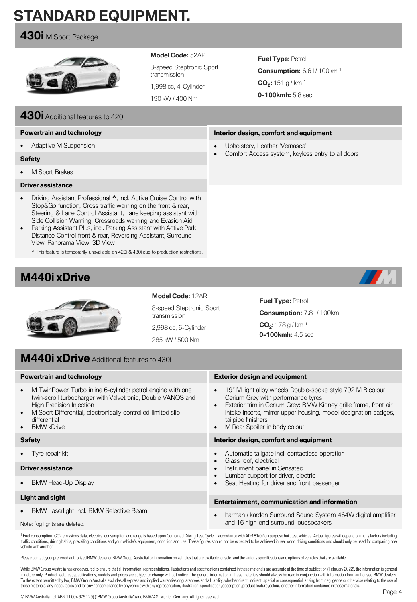# **STANDARD EQUIPMENT.**

### **430i** M Sport Package



### **Model Code:** 52AP

8-speed Steptronic Sport transmission

1,998 cc, 4-Cylinder

190 kW / 400 Nm

**Fuel Type:** Petrol **Consumption:** 6.6 | / 100km<sup>1</sup> **CO<sup>2</sup> :** 151 g / km <sup>1</sup> **0-100kmh:** 5.8 sec

**Interior design, comfort and equipment**

• Comfort Access system, keyless entry to all doors

• Upholstery, Leather 'Vernasca'

# **430i**Additional features to 420i

### **Powertrain and technology**

• Adaptive M Suspension

#### **Safety**

• M Sport Brakes

#### **Driver assistance**

- Driving Assistant Professional **^**, incl. Active Cruise Control with Stop&Go function, Cross traffic warning on the front & rear, Steering & Lane Control Assistant, Lane keeping assistant with Side Collision Warning, Crossroads warning and Evasion Aid
- Parking Assistant Plus, incl. Parking Assistant with Active Park Distance Control front & rear, Reversing Assistant, Surround View, Panorama View, 3D View

^ This feature is temporarily unavailable on 420i & 430i due to production restrictions.

# **M440i xDrive**





**Model Code:** 12AR 8-speed Steptronic Sport transmission

2,998 cc, 6-Cylinder 285 kW / 500 Nm

**Fuel Type: Petrol Consumption: 7.8 | / 100 km <sup>1</sup>** 

**CO<sup>2</sup> :** 178 g / km <sup>1</sup> **0-100kmh:** 4.5 sec

# **M440i xDrive** Additional features to 430i

| <b>Powertrain and technology</b>                                                                                                                                                                                                                                                     | <b>Exterior design and equipment</b>                                                                                                                                                                                                                                                                                                  |  |  |  |
|--------------------------------------------------------------------------------------------------------------------------------------------------------------------------------------------------------------------------------------------------------------------------------------|---------------------------------------------------------------------------------------------------------------------------------------------------------------------------------------------------------------------------------------------------------------------------------------------------------------------------------------|--|--|--|
| M TwinPower Turbo inline 6-cylinder petrol engine with one<br>$\bullet$<br>twin-scroll turbocharger with Valvetronic, Double VANOS and<br>High Precision Injection<br>M Sport Differential, electronically controlled limited slip<br>differential<br><b>BMW</b> xDrive<br>$\bullet$ | 19" M light alloy wheels Double-spoke style 792 M Bicolour<br>$\bullet$<br>Cerium Grey with performance tyres<br>Exterior trim in Cerium Grey: BMW Kidney grille frame, front air<br>$\bullet$<br>intake inserts, mirror upper housing, model designation badges,<br>tailpipe finishers<br>M Rear Spoiler in body colour<br>$\bullet$ |  |  |  |
| <b>Safety</b>                                                                                                                                                                                                                                                                        | Interior design, comfort and equipment                                                                                                                                                                                                                                                                                                |  |  |  |
| Tyre repair kit                                                                                                                                                                                                                                                                      | Automatic tailgate incl. contactless operation<br>Glass roof, electrical                                                                                                                                                                                                                                                              |  |  |  |
| <b>Driver assistance</b>                                                                                                                                                                                                                                                             | Instrument panel in Sensatec<br>$\bullet$                                                                                                                                                                                                                                                                                             |  |  |  |
| <b>BMW Head-Up Display</b>                                                                                                                                                                                                                                                           | Lumbar support for driver, electric<br>Seat Heating for driver and front passenger                                                                                                                                                                                                                                                    |  |  |  |
| Light and sight                                                                                                                                                                                                                                                                      | Entertainment, communication and information                                                                                                                                                                                                                                                                                          |  |  |  |
| <b>BMW Laserlight incl. BMW Selective Beam</b>                                                                                                                                                                                                                                       | harman / kardon Surround Sound System 464W digital amplifier<br>$\bullet$                                                                                                                                                                                                                                                             |  |  |  |
| Note: fog lights are deleted.                                                                                                                                                                                                                                                        | and 16 high-end surround loudspeakers                                                                                                                                                                                                                                                                                                 |  |  |  |

<sup>1</sup> Fuel consumption, CO2 emissions data, electrical consumption and range is based upon Combined Driving Test Cycle in accordance with ADR 81/02 on purpose built test vehicles. Actual figures will depend on many factors i traffic conditions, driving habits, prevailing conditions and your vehicle's equipment, condition and use. These figures should not be expected to be achieved in real world driving conditions and should only be used for co vehiclewith another.

Please contact your preferred authorised BMW dealer or BMW Group Australia for information on vehicles that are available for sale, and the various specifications and options of vehicles that are available.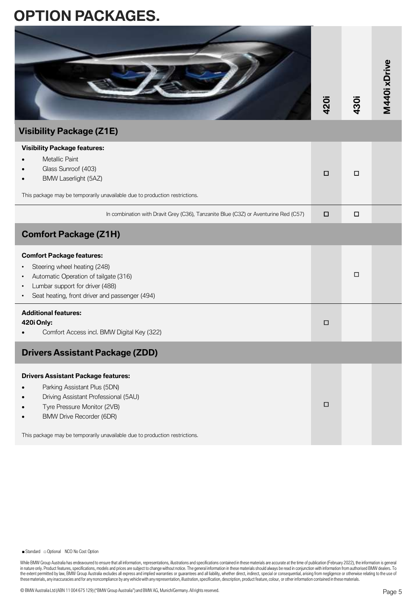# **OPTION PACKAGES.**

|                                 |      |      | <u>ixi</u> |
|---------------------------------|------|------|------------|
|                                 | 420i | 430i | Ч<br>Σ     |
| <b>Visibility Package (Z1E)</b> |      |      |            |

|                                                                                                                                                                                                                                                                                                                                                                                                                                                                                                                                                                                                                                                                                               | 420    | 430    | М<br>44   |
|-----------------------------------------------------------------------------------------------------------------------------------------------------------------------------------------------------------------------------------------------------------------------------------------------------------------------------------------------------------------------------------------------------------------------------------------------------------------------------------------------------------------------------------------------------------------------------------------------------------------------------------------------------------------------------------------------|--------|--------|-----------|
| <b>Visibility Package (Z1E)</b>                                                                                                                                                                                                                                                                                                                                                                                                                                                                                                                                                                                                                                                               |        |        |           |
| <b>Visibility Package features:</b><br>Metallic Paint<br>Glass Sunroof (403)<br>BMW Laserlight (5AZ)                                                                                                                                                                                                                                                                                                                                                                                                                                                                                                                                                                                          | $\Box$ | $\Box$ |           |
| This package may be temporarily unavailable due to production restrictions.                                                                                                                                                                                                                                                                                                                                                                                                                                                                                                                                                                                                                   |        |        |           |
| In combination with Dravit Grey (C36), Tanzanite Blue (C3Z) or Aventurine Red (C57)                                                                                                                                                                                                                                                                                                                                                                                                                                                                                                                                                                                                           | □      | □      |           |
| <b>Comfort Package (Z1H)</b>                                                                                                                                                                                                                                                                                                                                                                                                                                                                                                                                                                                                                                                                  |        |        |           |
| <b>Comfort Package features:</b><br>Steering wheel heating (248)<br>Automatic Operation of tailgate (316)<br>Lumbar support for driver (488)<br>Seat heating, front driver and passenger (494)                                                                                                                                                                                                                                                                                                                                                                                                                                                                                                |        | □      |           |
| <b>Additional features:</b><br>420i Only:<br>Comfort Access incl. BMW Digital Key (322)                                                                                                                                                                                                                                                                                                                                                                                                                                                                                                                                                                                                       | $\Box$ |        |           |
| <b>Drivers Assistant Package (ZDD)</b>                                                                                                                                                                                                                                                                                                                                                                                                                                                                                                                                                                                                                                                        |        |        |           |
| <b>Drivers Assistant Package features:</b><br>Parking Assistant Plus (5DN)<br>Driving Assistant Professional (5AU)<br>Tyre Pressure Monitor (2VB)<br><b>BMW Drive Recorder (6DR)</b><br>This package may be temporarily unavailable due to production restrictions.                                                                                                                                                                                                                                                                                                                                                                                                                           | □      |        |           |
| While BMW Group Australia has endeavoured to ensure that all information, representations, illustrations and specifications contained in these materials are accurate at the time of publication (February 2022), the informat                                                                                                                                                                                                                                                                                                                                                                                                                                                                |        |        |           |
| in nature only. Product features, specifications, models and prices are subject to change without notice. The general information in these materials should always be read in conjunction with information from authorised BMW<br>the extent permitted by law, BMW Group Australia excludes all express and implied warranties or guarantees and all liability, whether direct, indirect, special or consequential, arising from negligence or otherwise relatin<br>these materials, any inaccuracies and for any noncompliance by any vehicle with any representation, illustration, specification, description, product feature, colour, or other information contained in these materials. |        |        |           |
| © BMW Australia Ltd (ABN 11 004 675 129) ("BMW Group Australia") and BMW AG, Munich/Germany. All rights reserved.                                                                                                                                                                                                                                                                                                                                                                                                                                                                                                                                                                             |        |        | $P_{200}$ |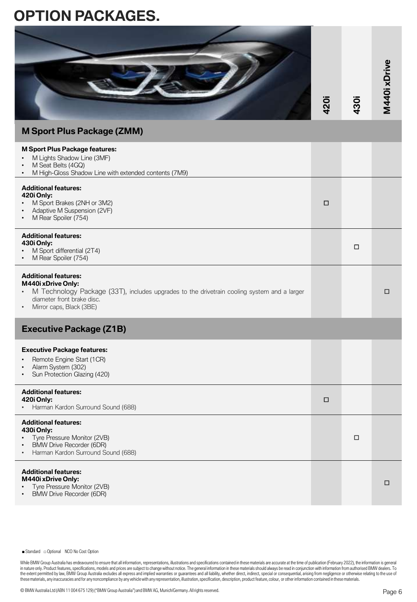# **OPTION PACKAGES.**

|                                                                                                                                                                                                                                                                                                                                                                                                                                                                                                                                                                                                                                                                                                                                                                                                                                                                                                                                 | 420i | 430i | M440ixDrive |
|---------------------------------------------------------------------------------------------------------------------------------------------------------------------------------------------------------------------------------------------------------------------------------------------------------------------------------------------------------------------------------------------------------------------------------------------------------------------------------------------------------------------------------------------------------------------------------------------------------------------------------------------------------------------------------------------------------------------------------------------------------------------------------------------------------------------------------------------------------------------------------------------------------------------------------|------|------|-------------|
| <b>M Sport Plus Package (ZMM)</b>                                                                                                                                                                                                                                                                                                                                                                                                                                                                                                                                                                                                                                                                                                                                                                                                                                                                                               |      |      |             |
| <b>M Sport Plus Package features:</b><br>M Lights Shadow Line (3MF)<br>M Seat Belts (4GQ)<br>M High-Gloss Shadow Line with extended contents (7M9)                                                                                                                                                                                                                                                                                                                                                                                                                                                                                                                                                                                                                                                                                                                                                                              |      |      |             |
| <b>Additional features:</b><br>420i Only:<br>M Sport Brakes (2NH or 3M2)<br>Adaptive M Suspension (2VF)<br>M Rear Spoiler (754)                                                                                                                                                                                                                                                                                                                                                                                                                                                                                                                                                                                                                                                                                                                                                                                                 | □    |      |             |
| <b>Additional features:</b><br>430i Only:<br>M Sport differential (2T4)<br>M Rear Spoiler (754)                                                                                                                                                                                                                                                                                                                                                                                                                                                                                                                                                                                                                                                                                                                                                                                                                                 |      | □    |             |
| <b>Additional features:</b><br>M440i xDrive Only:<br>M Technology Package (33T), includes upgrades to the drivetrain cooling system and a larger<br>diameter front brake disc.<br>Mirror caps, Black (3BE)                                                                                                                                                                                                                                                                                                                                                                                                                                                                                                                                                                                                                                                                                                                      |      |      | □           |
| <b>Executive Package (Z1B)</b>                                                                                                                                                                                                                                                                                                                                                                                                                                                                                                                                                                                                                                                                                                                                                                                                                                                                                                  |      |      |             |
| <b>Executive Package features:</b><br>Remote Engine Start (1CR)<br>Alarm System (302)<br>Sun Protection Glazing (420)                                                                                                                                                                                                                                                                                                                                                                                                                                                                                                                                                                                                                                                                                                                                                                                                           |      |      |             |
| <b>Additional features:</b><br>420i Only:<br>Harman Kardon Surround Sound (688)                                                                                                                                                                                                                                                                                                                                                                                                                                                                                                                                                                                                                                                                                                                                                                                                                                                 | □    |      |             |
| <b>Additional features:</b><br>430i Only:<br>Tyre Pressure Monitor (2VB)<br><b>BMW Drive Recorder (6DR)</b><br>Harman Kardon Surround Sound (688)<br>$\bullet$                                                                                                                                                                                                                                                                                                                                                                                                                                                                                                                                                                                                                                                                                                                                                                  |      | □    |             |
| <b>Additional features:</b><br>M440i xDrive Only:<br>Tyre Pressure Monitor (2VB)<br><b>BMW Drive Recorder (6DR)</b>                                                                                                                                                                                                                                                                                                                                                                                                                                                                                                                                                                                                                                                                                                                                                                                                             |      |      | □           |
|                                                                                                                                                                                                                                                                                                                                                                                                                                                                                                                                                                                                                                                                                                                                                                                                                                                                                                                                 |      |      |             |
| Standard coptional NCO No Cost Option                                                                                                                                                                                                                                                                                                                                                                                                                                                                                                                                                                                                                                                                                                                                                                                                                                                                                           |      |      |             |
| While BMW Group Australia has endeavoured to ensure that all information, representations, illustrations and specifications contained in these materials are accurate at the time of publication (February 2022), the informat<br>in nature only. Product features, specifications, models and prices are subject to change without notice. The general information in these materials should always be read in conjunction with information from authorised BMW<br>the extent permitted by law, BMW Group Australia excludes all express and implied warranties or guarantees and all liability, whether direct, indirect, special or consequential, arising from negligence or otherwise relatin<br>these materials, any inaccuracies and for any noncompliance by any vehicle with any representation, illustration, specification, description, product feature, colour, or other information contained in these materials. |      |      |             |
| © BMW Australia Ltd (ABN 11 004 675 129) ("BMW Group Australia") and BMW AG, Munich/Germany. All rights reserved.                                                                                                                                                                                                                                                                                                                                                                                                                                                                                                                                                                                                                                                                                                                                                                                                               |      |      | Page 6      |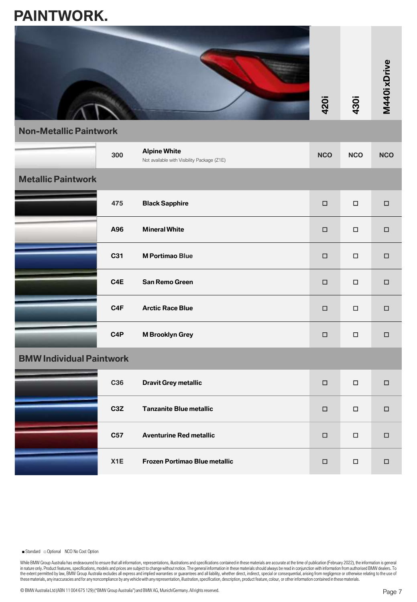# **PAINTWORK.**



**Non-Metallic Paintwork**

|                                 | 300              | <b>Alpine White</b><br>Not available with Visibility Package (Z1E) | <b>NCO</b> | <b>NCO</b> | <b>NCO</b> |
|---------------------------------|------------------|--------------------------------------------------------------------|------------|------------|------------|
| <b>Metallic Paintwork</b>       |                  |                                                                    |            |            |            |
|                                 | 475              | <b>Black Sapphire</b>                                              | $\Box$     | $\Box$     | $\Box$     |
|                                 | A96              | <b>Mineral White</b>                                               | $\Box$     | $\Box$     | $\Box$     |
|                                 | C31              | <b>M Portimao Blue</b>                                             | $\Box$     | $\Box$     | $\Box$     |
|                                 | C4E              | <b>San Remo Green</b>                                              | $\Box$     | $\Box$     | $\Box$     |
|                                 | C <sub>4</sub> F | <b>Arctic Race Blue</b>                                            | $\Box$     | $\Box$     | $\Box$     |
|                                 | C <sub>4</sub> P | <b>M Brooklyn Grey</b>                                             | $\Box$     | $\Box$     | $\Box$     |
| <b>BMW Individual Paintwork</b> |                  |                                                                    |            |            |            |
|                                 | C36              | <b>Dravit Grey metallic</b>                                        | $\Box$     | $\Box$     | $\Box$     |
|                                 | C <sub>3</sub> Z | <b>Tanzanite Blue metallic</b>                                     | $\Box$     | □          | □          |
|                                 | C57              | <b>Aventurine Red metallic</b>                                     | $\Box$     | $\Box$     | $\Box$     |
|                                 | X <sub>1</sub> E | Frozen Portimao Blue metallic                                      | $\Box$     | $\Box$     | $\Box$     |

■ Standard □ Optional NCO No Cost Option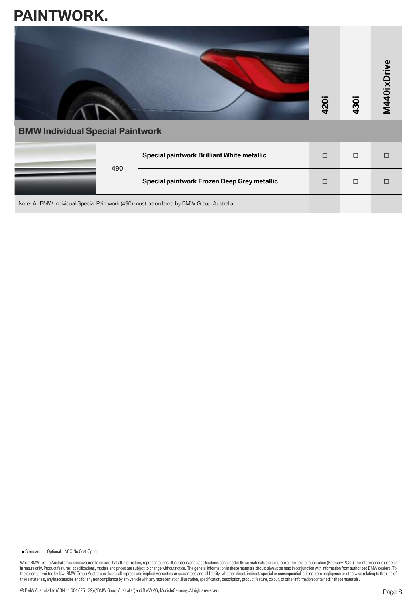# **PAINTWORK.**

| M440ixDrive<br>420i<br>430i<br><b>BMW Individual Special Paintwork</b>                  |                                             |        |        |   |  |  |
|-----------------------------------------------------------------------------------------|---------------------------------------------|--------|--------|---|--|--|
|                                                                                         | Special paintwork Brilliant White metallic  | $\Box$ | $\Box$ | П |  |  |
| 490                                                                                     | Special paintwork Frozen Deep Grey metallic | $\Box$ | $\Box$ |   |  |  |
| Note: All BMW Individual Special Paintwork (490) must be ordered by BMW Group Australia |                                             |        |        |   |  |  |

■ Standard □ Optional NCO No Cost Option

While BMW Group Australia has endeavoured to ensure that all information, representations, illustrations and specifications contained in these materials are accurate at the time of publication (February 2022), the informat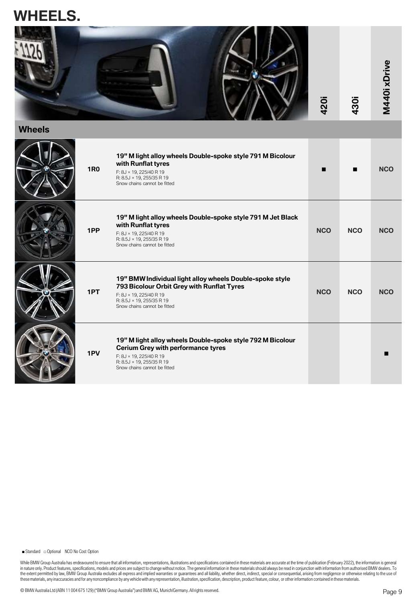# **WHEELS.**



**Wheels**

| <b>1R0</b> | 19" M light alloy wheels Double-spoke style 791 M Bicolour<br>with Runflat tyres<br>F: 8J × 19, 225/40 R 19<br>R: 8.5J × 19, 255/35 R 19<br>Snow chains cannot be fitted                        | ■          |            | <b>NCO</b> |
|------------|-------------------------------------------------------------------------------------------------------------------------------------------------------------------------------------------------|------------|------------|------------|
| 1PP        | 19" M light alloy wheels Double-spoke style 791 M Jet Black<br>with Runflat tyres<br>F: 8J × 19, 225/40 R 19<br>R: 8.5J × 19, 255/35 R 19<br>Snow chains cannot be fitted                       | <b>NCO</b> | <b>NCO</b> | <b>NCO</b> |
| 1PT        | 19" BMW Individual light alloy wheels Double-spoke style<br>793 Bicolour Orbit Grey with Runflat Tyres<br>F: 8J × 19, 225/40 R 19<br>R: 8.5J × 19, 255/35 R 19<br>Snow chains cannot be fitted  | <b>NCO</b> | <b>NCO</b> | <b>NCO</b> |
| 1PV        | 19" M light alloy wheels Double-spoke style 792 M Bicolour<br><b>Cerium Grey with performance tyres</b><br>F: 8J × 19, 225/40 R 19<br>R: 8.5J × 19, 255/35 R 19<br>Snow chains cannot be fitted |            |            |            |

■ Standard □ Optional NCO No Cost Option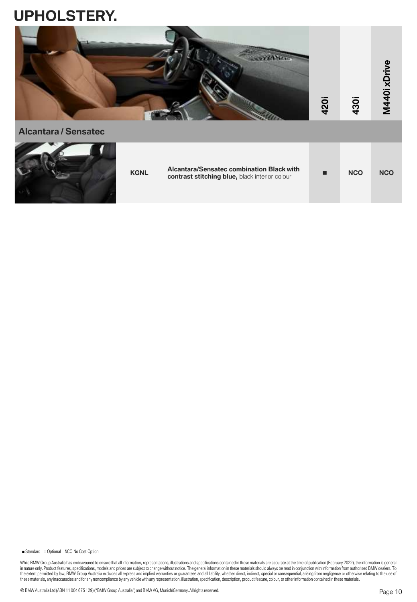

**Alcantara / Sensatec KGNL Alcantara/Sensatec combination Black with contrast stitching blue,** black interior colour <sup>◼</sup> **NCO NCO**

■ Standard □ Optional NCO No Cost Option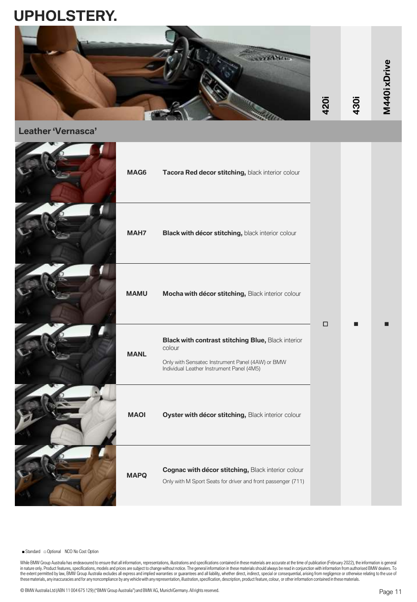

**Leather 'Vernasca'**

| MAG6        | Tacora Red decor stitching, black interior colour                                                                                                             |        |  |
|-------------|---------------------------------------------------------------------------------------------------------------------------------------------------------------|--------|--|
| MAH7        | Black with décor stitching, black interior colour                                                                                                             |        |  |
| <b>MAMU</b> | Mocha with décor stitching, Black interior colour                                                                                                             |        |  |
| <b>MANL</b> | Black with contrast stitching Blue, Black interior<br>colour<br>Only with Sensatec Instrument Panel (4AW) or BMW<br>Individual Leather Instrument Panel (4M5) | $\Box$ |  |
| <b>MAOI</b> | Oyster with décor stitching, Black interior colour                                                                                                            |        |  |
| <b>MAPQ</b> | Cognac with décor stitching, Black interior colour<br>Only with M Sport Seats for driver and front passenger (711)                                            |        |  |

■ Standard □ Optional NCO No Cost Option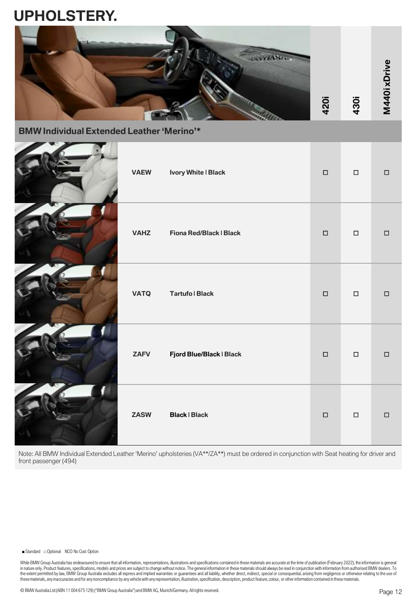

**BMW Individual Extended Leather 'Merino'\***

| <b>VAEW</b> | Ivory White   Black      | $\Box$           | $\Box$ | $\Box$ |
|-------------|--------------------------|------------------|--------|--------|
| <b>VAHZ</b> | Fiona Red/Black   Black  | $\hfill \square$ | $\Box$ | $\Box$ |
| <b>VATQ</b> | <b>Tartufo   Black</b>   | $\Box$           | $\Box$ | $\Box$ |
| <b>ZAFV</b> | Fjord Blue/Black   Black | $\Box$           | $\Box$ | $\Box$ |
| <b>ZASW</b> | <b>Black   Black</b>     | $\Box$           | $\Box$ | $\Box$ |

Note: All BMW Individual Extended Leather 'Merino' upholsteries (VA\*\*/ZA\*\*) must be ordered in conjunction with Seat heating for driver and front passenger (494)

#### ■ Standard □ Optional NCO No Cost Option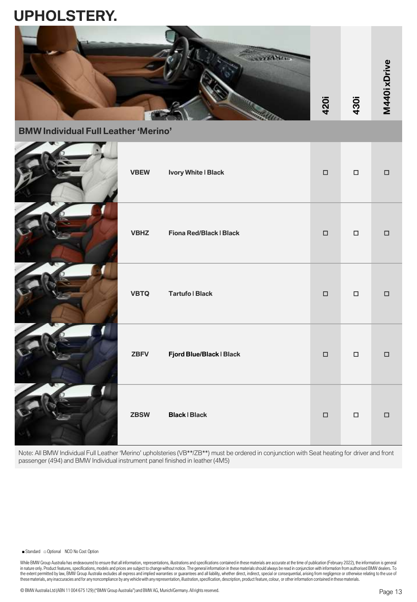

**BMW Individual Full Leather 'Merino'**

| <b>VBEW</b> | Ivory White   Black      | $\Box$ | $\Box$ | $\Box$          |
|-------------|--------------------------|--------|--------|-----------------|
| <b>VBHZ</b> | Fiona Red/Black   Black  | $\Box$ | $\Box$ | $\hfill\square$ |
| <b>VBTQ</b> | <b>Tartufo   Black</b>   | $\Box$ | $\Box$ | $\Box$          |
| <b>ZBFV</b> | Fjord Blue/Black   Black | $\Box$ | $\Box$ | $\Box$          |
| <b>ZBSW</b> | <b>Black   Black</b>     | $\Box$ | $\Box$ | $\Box$          |

Note: All BMW Individual Full Leather 'Merino' upholsteries (VB\*\*/ZB\*\*) must be ordered in conjunction with Seat heating for driver and front passenger (494) and BMW Individual instrument panel finished in leather (4M5)

#### ■ Standard □ Optional NCO No Cost Option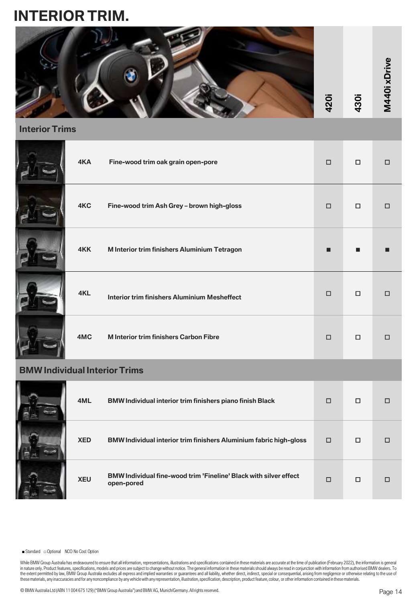# **INTERIOR TRIM.**



### **Interior Trims**

|   | 4KA           | Fine-wood trim oak grain open-pore                  | $\Box$         | $\Box$ | □ |
|---|---------------|-----------------------------------------------------|----------------|--------|---|
|   | 4KC           | Fine-wood trim Ash Grey - brown high-gloss          | $\Box$         | $\Box$ | □ |
|   | 4KK           | M Interior trim finishers Aluminium Tetragon        | $\blacksquare$ | ■      |   |
|   | 4KL           | <b>Interior trim finishers Aluminium Mesheffect</b> | $\Box$         | □      | □ |
|   | 4MC           | <b>M</b> Interior trim finishers Carbon Fibre       | $\Box$         | $\Box$ | □ |
| ы | - I I.a. I.a. |                                                     |                |        |   |

### **BMW Individual Interior Trims**

| 1 | 4ML        | BMW Individual interior trim finishers piano finish Black                              | $\Box$ | □ |  |
|---|------------|----------------------------------------------------------------------------------------|--------|---|--|
|   | <b>XED</b> | <b>BMW Individual interior trim finishers Aluminium fabric high-gloss</b>              | □      | П |  |
|   | <b>XEU</b> | <b>BMW Individual fine-wood trim 'Fineline' Black with silver effect</b><br>open-pored | $\Box$ | □ |  |

■ Standard □ Optional NCO No Cost Option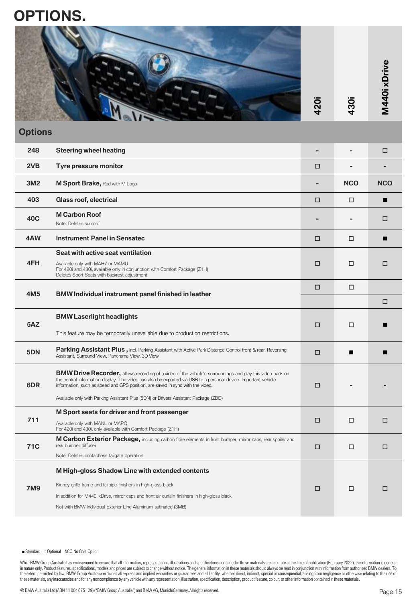# **OPTIONS.**

|      |            | ω<br>o          |
|------|------------|-----------------|
| 420i | <b>30i</b> | <b>M440i xD</b> |

### **Options**

|                 |                                                                                                                                                                                                                                                                                                                                                                                                                                                                                                                                                                                                                                                                                                                                                                                                                                                                                                                                 | 420i | 430i                     | <b>ΣΡ</b>  |
|-----------------|---------------------------------------------------------------------------------------------------------------------------------------------------------------------------------------------------------------------------------------------------------------------------------------------------------------------------------------------------------------------------------------------------------------------------------------------------------------------------------------------------------------------------------------------------------------------------------------------------------------------------------------------------------------------------------------------------------------------------------------------------------------------------------------------------------------------------------------------------------------------------------------------------------------------------------|------|--------------------------|------------|
| <b>Options</b>  |                                                                                                                                                                                                                                                                                                                                                                                                                                                                                                                                                                                                                                                                                                                                                                                                                                                                                                                                 |      |                          |            |
| 248             | <b>Steering wheel heating</b>                                                                                                                                                                                                                                                                                                                                                                                                                                                                                                                                                                                                                                                                                                                                                                                                                                                                                                   | -    | $\overline{\phantom{0}}$ | □          |
| 2VB             | Tyre pressure monitor                                                                                                                                                                                                                                                                                                                                                                                                                                                                                                                                                                                                                                                                                                                                                                                                                                                                                                           | □    |                          |            |
| 3M2             | <b>M Sport Brake, Red with M Logo</b>                                                                                                                                                                                                                                                                                                                                                                                                                                                                                                                                                                                                                                                                                                                                                                                                                                                                                           |      | <b>NCO</b>               | <b>NCO</b> |
| 403             | Glass roof, electrical                                                                                                                                                                                                                                                                                                                                                                                                                                                                                                                                                                                                                                                                                                                                                                                                                                                                                                          | □    | □                        | п          |
| 40C             | <b>M Carbon Roof</b><br>Note: Deletes sunroof                                                                                                                                                                                                                                                                                                                                                                                                                                                                                                                                                                                                                                                                                                                                                                                                                                                                                   |      |                          | □          |
| 4AW             | <b>Instrument Panel in Sensatec</b>                                                                                                                                                                                                                                                                                                                                                                                                                                                                                                                                                                                                                                                                                                                                                                                                                                                                                             | □    | □                        | П          |
| 4FH             | Seat with active seat ventilation<br>Available only with MAH7 or MAMU<br>For 420i and 430i, available only in conjunction with Comfort Package (Z1H)<br>Deletes Sport Seats with backrest adjustment                                                                                                                                                                                                                                                                                                                                                                                                                                                                                                                                                                                                                                                                                                                            | □    | □                        | □          |
|                 |                                                                                                                                                                                                                                                                                                                                                                                                                                                                                                                                                                                                                                                                                                                                                                                                                                                                                                                                 | □    | □                        |            |
| 4M <sub>5</sub> | <b>BMW Individual instrument panel finished in leather</b>                                                                                                                                                                                                                                                                                                                                                                                                                                                                                                                                                                                                                                                                                                                                                                                                                                                                      |      |                          | □          |
| 5AZ             | <b>BMW Laserlight headlights</b>                                                                                                                                                                                                                                                                                                                                                                                                                                                                                                                                                                                                                                                                                                                                                                                                                                                                                                | □    | □                        |            |
|                 | This feature may be temporarily unavailable due to production restrictions.                                                                                                                                                                                                                                                                                                                                                                                                                                                                                                                                                                                                                                                                                                                                                                                                                                                     |      |                          |            |
| 5DN             | <b>Parking Assistant Plus, incl. Parking Assistant with Active Park Distance Control front &amp; rear, Reversing</b><br>Assistant, Surround View, Panorama View, 3D View                                                                                                                                                                                                                                                                                                                                                                                                                                                                                                                                                                                                                                                                                                                                                        | □    | ■                        |            |
| 6DR             | <b>BMW Drive Recorder,</b> allows recording of a video of the vehicle's surroundings and play this video back on<br>the central information display. The video can also be exported via USB to a personal device. Important vehicle<br>information, such as speed and GPS position, are saved in sync with the video.                                                                                                                                                                                                                                                                                                                                                                                                                                                                                                                                                                                                           | □    |                          |            |
|                 | Available only with Parking Assistant Plus (5DN) or Drivers Assistant Package (ZDD)                                                                                                                                                                                                                                                                                                                                                                                                                                                                                                                                                                                                                                                                                                                                                                                                                                             |      |                          |            |
| 711             | M Sport seats for driver and front passenger<br>Available only with MANL or MAPQ<br>For 420i and 430i, only available with Comfort Package (Z1H)                                                                                                                                                                                                                                                                                                                                                                                                                                                                                                                                                                                                                                                                                                                                                                                | □    | □                        | □          |
| <b>71C</b>      | <b>M Carbon Exterior Package,</b> including carbon fibre elements in front bumper, mirror caps, rear spoiler and<br>rear bumper diffuser                                                                                                                                                                                                                                                                                                                                                                                                                                                                                                                                                                                                                                                                                                                                                                                        | □    | □                        | □          |
|                 | Note: Deletes contactless tailgate operation                                                                                                                                                                                                                                                                                                                                                                                                                                                                                                                                                                                                                                                                                                                                                                                                                                                                                    |      |                          |            |
|                 | M High-gloss Shadow Line with extended contents<br>Kidney grille frame and tailpipe finishers in high-gloss black                                                                                                                                                                                                                                                                                                                                                                                                                                                                                                                                                                                                                                                                                                                                                                                                               |      |                          |            |
| <b>7M9</b>      | In addition for M440i xDrive, mirror caps and front air curtain finishers in high-gloss black                                                                                                                                                                                                                                                                                                                                                                                                                                                                                                                                                                                                                                                                                                                                                                                                                                   | □    | □                        | □          |
|                 | Not with BMW Individual Exterior Line Aluminum satinated (3MB)                                                                                                                                                                                                                                                                                                                                                                                                                                                                                                                                                                                                                                                                                                                                                                                                                                                                  |      |                          |            |
|                 |                                                                                                                                                                                                                                                                                                                                                                                                                                                                                                                                                                                                                                                                                                                                                                                                                                                                                                                                 |      |                          |            |
|                 |                                                                                                                                                                                                                                                                                                                                                                                                                                                                                                                                                                                                                                                                                                                                                                                                                                                                                                                                 |      |                          |            |
|                 | While BMW Group Australia has endeavoured to ensure that all information, representations, illustrations and specifications contained in these materials are accurate at the time of publication (February 2022), the informat<br>in nature only. Product features, specifications, models and prices are subject to change without notice. The general information in these materials should always be read in conjunction with information from authorised BMW<br>the extent permitted by law, BMW Group Australia excludes all express and implied warranties or guarantees and all liability, whether direct, indirect, special or consequential, arising from negligence or otherwise relatin<br>these materials, any inaccuracies and for any noncompliance by any vehicle with any representation, illustration, specification, description, product feature, colour, or other information contained in these materials. |      |                          |            |
|                 | © BMW Australia Ltd (ABN 11 004 675 129) ("BMW Group Australia") and BMW AG, Munich/Germany. All rights reserved.                                                                                                                                                                                                                                                                                                                                                                                                                                                                                                                                                                                                                                                                                                                                                                                                               |      |                          | $P300$ 15  |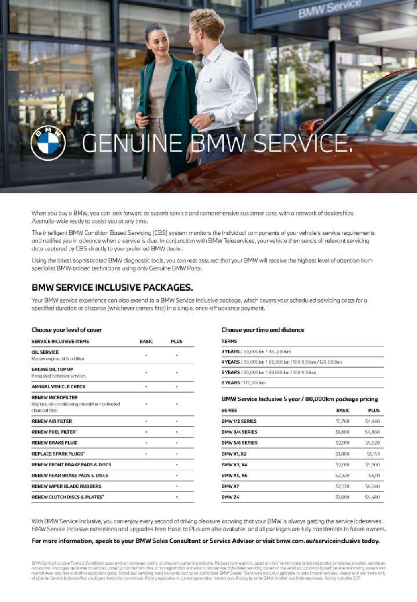# NF. В

When you buy a BMW, you can look forward to superb service and comprehensive customer care, with a network of dealerships Australia-wide ready to assist you at any time.

The intelligent BMW Condition Based Servicing (CBS) system monitors the individual components of your vehicle's service requirements and notifies you in advance when a service is due. In conjunction with BMW Teleservices, your vehicle then sends all relevant servicing dota captured by CBS directly to your preferred BMW dealer.

Using the lotest sophisticated BMW diagnostic tools, you can rest assured that your BMW will receive the highest level of attention from specialist BMW-trained technicians using only Genuine BMW Ports.

### **BMW SERVICE INCLUSIVE PACKAGES.**

Your BMW service experience can also extend to a BMW Service Inclusive package, which covers your scheduled servicing costs for a specified duration or distance (whichever comes first) in a single, once-off advance payment.

#### Choose your level of cover

| SERVICE INCLUSIVE ITEMS                                                                          | <b>BASIC</b> | <b>PLUS</b> |
|--------------------------------------------------------------------------------------------------|--------------|-------------|
| OIL SERVICE<br>Reciew engine oil & oil filter                                                    | ¥            | £.          |
| <b>ENGINE OIL TOP UP</b><br>If required between services                                         | ٠            | ٠           |
| ANNUAL VEHICLE CHECK                                                                             | ×            | ٠           |
| <b>RENEW MICROFILTER</b><br>Replace air conditioning microfilter / activated<br>charroal filter. | ٠            | 16          |
| <b>RENEW AIR FILTER.</b>                                                                         | ,,,<br>٠     | ٠           |
| <b>RENEW FUEL FILTER"</b>                                                                        | ۲            | 粉           |
| <b>RENEW BRAKE FLUID</b>                                                                         |              | ۰           |
| <b>REPLACE SPARK PLUGS"</b>                                                                      | ٠            | ÷.          |
| RENEW FRONT BRAKE PADS & DISCS                                                                   |              | 9           |
| RENEW REAR BRAKE PADS & DISCS                                                                    |              | ٠           |
| <b>RENEW WIPER BLADE RUBBERS</b>                                                                 |              | ٠           |
| RENEW CLUTCH DISCS & PLATES*                                                                     |              | ۰           |

#### Choose your time and distance

| <b>TERMS</b>                                         |  |
|------------------------------------------------------|--|
| 3 YEARS / 60,000km / 100,000km                       |  |
| 4YEARS / 60,000km / 80,000km / 100,000km / 120,000km |  |
| 5 YEARS / 60,000 km / 80,000 km / 100,000 km         |  |
| 6 YEARS / 120.000km                                  |  |

#### BMW Service Inclusive 5 year / 80,000km package pricing

| <b>SERIES</b>         | <b>BASIC</b> | PLUS    |
|-----------------------|--------------|---------|
| <b>BMW1/2 SERIES</b>  | \$1,700      | \$4,460 |
| <b>BMW 3/4 SERIES</b> | \$1,800      | 54,806  |
| <b>BMW 5/6 SERIES</b> | \$2,010      | \$5,928 |
| <b>BMW X1, X2</b>     | \$1,800      | \$5,153 |
| BMWX3, X4             | $-52,010$    | \$5,500 |
| <b>BMW X5, X6</b>     | \$2,320      | \$6,111 |
| BMW X7                | \$2,370      | \$6,560 |
| BMW <sub>Z4</sub>     | \$1,600      | \$4,480 |

With BMW Service Inclusive, you can enjoy every second of driving pleasure knowing that your BMW is always getting the service it deserves. BMW Service Inclusive extensions and upgrades from Bosic to Plus are also available, and all packages are fully transferable to future owners.

#### For more information, speak to your BMW Sales Consultant or Service Advisor or visit bmw.com.au/serviceinclusive today.

EMW Service inclusive Terms & Conditions opply and can be viewed antihe actor wycom authority make the position of the first make on the state of the test of the service in the service of the service in the service of the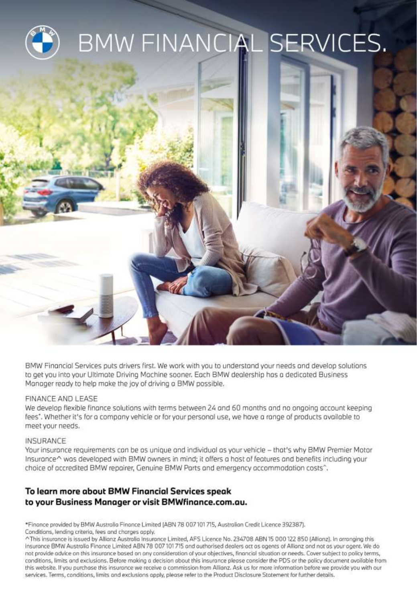

BMW Financial Services puts drivers first. We work with you to understand your needs and develop solutions to get you into your Ultimate Driving Machine sooner. Each BMW dealership has a dedicated Business Manager ready to help make the joy of driving a BMW possible.

### FINANCE AND LEASE

We develop flexible finance solutions with terms between 24 and 60 months and no ongoing account keeping fees". Whether it's for a company vehicle or for your personal use, we have a range of products available to meet your needs.

### INSURANCE

Your insurance requirements can be as unique and individual as your vehicle - that's why BMW Premier Motor Insurance^ was developed with BMW owners in mind; it offers a host of features and benefits including your choice of accredited BMW repairer, Genuine BMW Parts and emergency accommodation costs<sup>^</sup>.

## To learn more about BMW Financial Services speak to your Business Manager or visit BMWfinance.com.au.

\*Finance provided by BMW Australia Finance Limited (ABN 78 007 101 715, Australian Credit Licence 392387). Conditions, lending criteria, fees and charges apply.

^This insurance is issued by Allianz Australia Insurance Limited, AFS Licence No. 234708 ABN 15 000 122 850 (Allianz). In arranging this insurance BMW Australia Finance Limited ABN 78 007 101 715 and authorised dealers act as agents of Allianz and not as your agent. We do not provide advice on this insurance based on any consideration of your objectives, financial situation or needs. Cover subject to policy terms, conditions, limits and exclusions. Before making a decision about this insurance please consider the PDS or the policy document available from this website. If you purchase this insurance we receive a commission from Allianz. Ask us for more information before we provide you with our services. Terms, conditions, limits and exclusions apply, please refer to the Product Disclosure Statement for further details.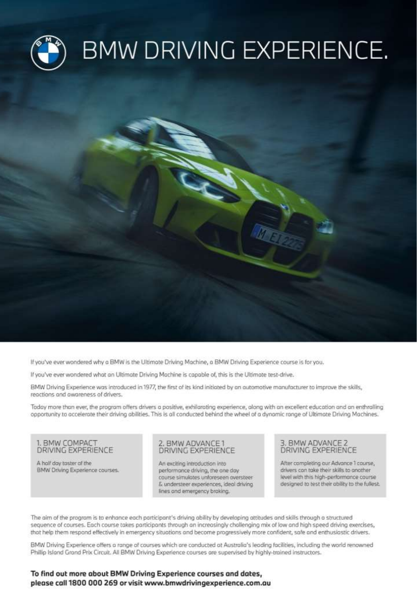

If you've ever wondered why a BMW is the Ultimate Driving Machine, a BMW Driving Experience course is for you,

If you've ever wondered what an Ultimate Driving Machine is capable of, this is the Ultimate test-drive.

BMW Driving Experience was introduced in 1977, the first of its kind initiated by an automotive manufacturer to improve the skills, reactions and awareness of drivers.

Today more than ever, the program offers drivers a positive, exhilarating experience, along with an excellent education and an enthralling opportunity to accelerate their driving abilities. This is all conducted behind the wheel of a dynamic range of Ultimate Driving Machines.

1. BMW COMPACT DRIVING EXPERIENCE

A half day taster of the BMW Driving Experience courses.

#### 2. BMW ADVANCE1 DRIVING EXPERIENCE

An exciting introduction into. performance driving, the one day course simulates unforeseen oversteer & understeer experiences, ideal driving lines and emergency braking.

#### 3. BMW ADVANCE 2 DRIVING EXPERIENCE

After completing our Advance 1 course, drivers can take their skills to another level with this high-performance course designed to test their obility to the fullest.

The aim of the program is to enhance each participant's driving ability by developing attitudes and skills through a structured sequence of courses. Each course takes participants through an increasingly challenging mix of low and high speed driving exercises, that help them respond effectively in emergency situations and become progressively more confident, safe and enthusiastic drivers.

BMW Driving Experience offers a range of courses which are conducted at Australia's leading facilities, including the world renowned Phillip Island Grand Prix Circuit. All BMW Driving Experience courses are supervised by highly-trained instructors.

To find out more about BMW Driving Experience courses and dates, please call 1800 000 269 or visit www.bmwdrivingexperience.com.au